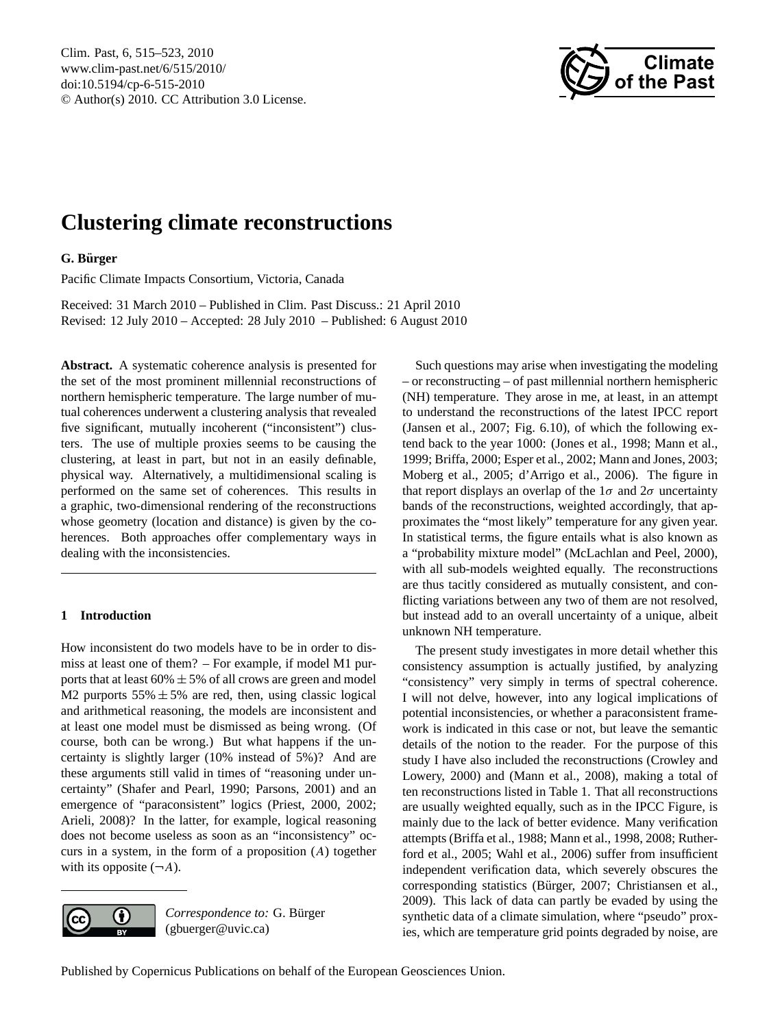<span id="page-0-0"></span>Clim. Past, 6, 515–523, 2010 www.clim-past.net/6/515/2010/ doi:10.5194/cp-6-515-2010 © Author(s) 2010. CC Attribution 3.0 License.



# **Clustering climate reconstructions**

## **G. Burger ¨**

Pacific Climate Impacts Consortium, Victoria, Canada

Received: 31 March 2010 – Published in Clim. Past Discuss.: 21 April 2010 Revised: 12 July 2010 – Accepted: 28 July 2010 – Published: 6 August 2010

**Abstract.** A systematic coherence analysis is presented for the set of the most prominent millennial reconstructions of northern hemispheric temperature. The large number of mutual coherences underwent a clustering analysis that revealed five significant, mutually incoherent ("inconsistent") clusters. The use of multiple proxies seems to be causing the clustering, at least in part, but not in an easily definable, physical way. Alternatively, a multidimensional scaling is performed on the same set of coherences. This results in a graphic, two-dimensional rendering of the reconstructions whose geometry (location and distance) is given by the coherences. Both approaches offer complementary ways in dealing with the inconsistencies.

## **1 Introduction**

How inconsistent do two models have to be in order to dismiss at least one of them? – For example, if model M1 purports that at least  $60\% \pm 5\%$  of all crows are green and model M2 purports  $55\% \pm 5\%$  are red, then, using classic logical and arithmetical reasoning, the models are inconsistent and at least one model must be dismissed as being wrong. (Of course, both can be wrong.) But what happens if the uncertainty is slightly larger (10% instead of 5%)? And are these arguments still valid in times of "reasoning under uncertainty" (Shafer and Pearl, 1990; Parsons, 2001) and an emergence of "paraconsistent" logics (Priest, 2000, 2002; Arieli, 2008)? In the latter, for example, logical reasoning does not become useless as soon as an "inconsistency" occurs in a system, in the form of a proposition (A) together with its opposite  $(\neg A)$ .



*Correspondence to:* G. Bürger (gbuerger@uvic.ca)

Such questions may arise when investigating the modeling – or reconstructing – of past millennial northern hemispheric (NH) temperature. They arose in me, at least, in an attempt to understand the reconstructions of the latest IPCC report (Jansen et al., 2007; Fig. 6.10), of which the following extend back to the year 1000: (Jones et al., 1998; Mann et al., 1999; Briffa, 2000; Esper et al., 2002; Mann and Jones, 2003; Moberg et al., 2005; d'Arrigo et al., 2006). The figure in that report displays an overlap of the  $1\sigma$  and  $2\sigma$  uncertainty bands of the reconstructions, weighted accordingly, that approximates the "most likely" temperature for any given year. In statistical terms, the figure entails what is also known as a "probability mixture model" (McLachlan and Peel, 2000), with all sub-models weighted equally. The reconstructions are thus tacitly considered as mutually consistent, and conflicting variations between any two of them are not resolved, but instead add to an overall uncertainty of a unique, albeit unknown NH temperature.

The present study investigates in more detail whether this consistency assumption is actually justified, by analyzing "consistency" very simply in terms of spectral coherence. I will not delve, however, into any logical implications of potential inconsistencies, or whether a paraconsistent framework is indicated in this case or not, but leave the semantic details of the notion to the reader. For the purpose of this study I have also included the reconstructions (Crowley and Lowery, 2000) and (Mann et al., 2008), making a total of ten reconstructions listed in Table 1. That all reconstructions are usually weighted equally, such as in the IPCC Figure, is mainly due to the lack of better evidence. Many verification attempts (Briffa et al., 1988; Mann et al., 1998, 2008; Rutherford et al., 2005; Wahl et al., 2006) suffer from insufficient independent verification data, which severely obscures the corresponding statistics (Bürger, 2007; Christiansen et al., 2009). This lack of data can partly be evaded by using the synthetic data of a climate simulation, where "pseudo" proxies, which are temperature grid points degraded by noise, are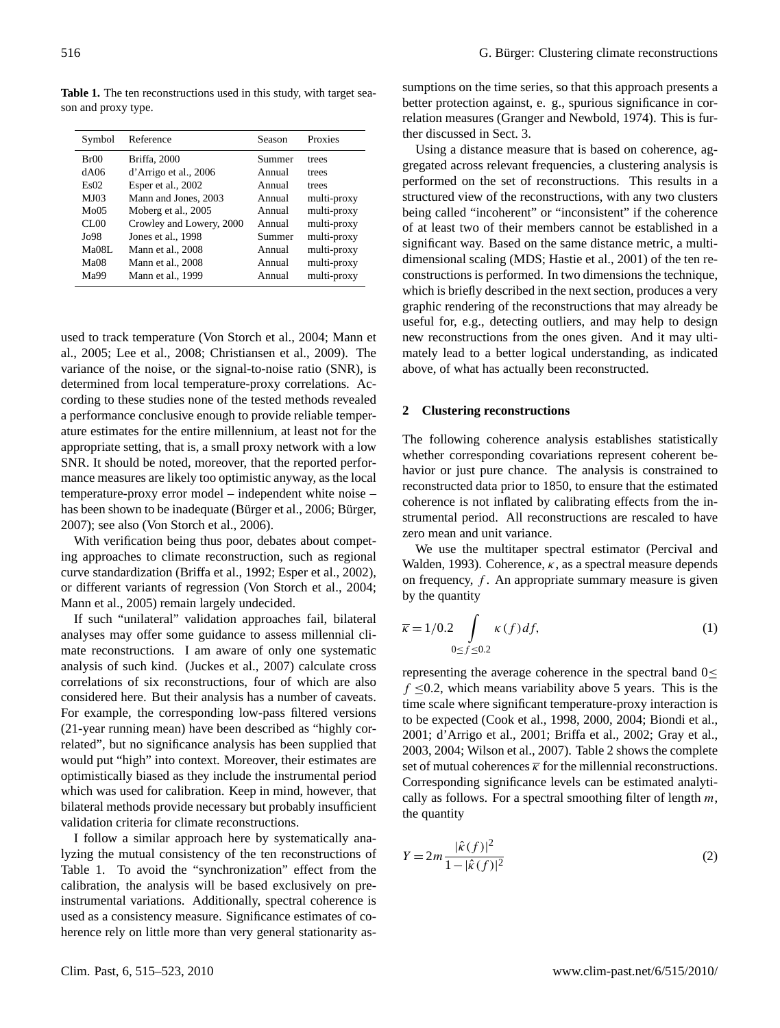**Table 1.** The ten reconstructions used in this study, with target season and proxy type.

| Symbol | Reference                | Season | Proxies     |
|--------|--------------------------|--------|-------------|
| Br00   | Briffa, 2000             | Summer | trees       |
| dA06   | d'Arrigo et al., 2006    | Annual | trees       |
| Es02   | Esper et al., 2002       | Annual | trees       |
| MJ03   | Mann and Jones, 2003     | Annual | multi-proxy |
| Mo05   | Moberg et al., 2005      | Annual | multi-proxy |
| CL00   | Crowley and Lowery, 2000 | Annual | multi-proxy |
| Jo98   | Jones et al., 1998       | Summer | multi-proxy |
| Ma08L  | Mann et al., 2008        | Annual | multi-proxy |
| MaO8   | Mann et al., 2008        | Annual | multi-proxy |
| Ma99   | Mann et al., 1999        | Annual | multi-proxy |
|        |                          |        |             |

used to track temperature (Von Storch et al., 2004; Mann et al., 2005; Lee et al., 2008; Christiansen et al., 2009). The variance of the noise, or the signal-to-noise ratio (SNR), is determined from local temperature-proxy correlations. According to these studies none of the tested methods revealed a performance conclusive enough to provide reliable temperature estimates for the entire millennium, at least not for the appropriate setting, that is, a small proxy network with a low SNR. It should be noted, moreover, that the reported performance measures are likely too optimistic anyway, as the local temperature-proxy error model – independent white noise – has been shown to be inadequate (Bürger et al., 2006; Bürger, 2007); see also (Von Storch et al., 2006).

With verification being thus poor, debates about competing approaches to climate reconstruction, such as regional curve standardization (Briffa et al., 1992; Esper et al., 2002), or different variants of regression (Von Storch et al., 2004; Mann et al., 2005) remain largely undecided.

If such "unilateral" validation approaches fail, bilateral analyses may offer some guidance to assess millennial climate reconstructions. I am aware of only one systematic analysis of such kind. (Juckes et al., 2007) calculate cross correlations of six reconstructions, four of which are also considered here. But their analysis has a number of caveats. For example, the corresponding low-pass filtered versions (21-year running mean) have been described as "highly correlated", but no significance analysis has been supplied that would put "high" into context. Moreover, their estimates are optimistically biased as they include the instrumental period which was used for calibration. Keep in mind, however, that bilateral methods provide necessary but probably insufficient validation criteria for climate reconstructions.

I follow a similar approach here by systematically analyzing the mutual consistency of the ten reconstructions of Table 1. To avoid the "synchronization" effect from the calibration, the analysis will be based exclusively on preinstrumental variations. Additionally, spectral coherence is used as a consistency measure. Significance estimates of coherence rely on little more than very general stationarity as-

sumptions on the time series, so that this approach presents a better protection against, e. g., spurious significance in correlation measures (Granger and Newbold, 1974). This is further discussed in Sect. 3.

Using a distance measure that is based on coherence, aggregated across relevant frequencies, a clustering analysis is performed on the set of reconstructions. This results in a structured view of the reconstructions, with any two clusters being called "incoherent" or "inconsistent" if the coherence of at least two of their members cannot be established in a significant way. Based on the same distance metric, a multidimensional scaling (MDS; Hastie et al., 2001) of the ten reconstructions is performed. In two dimensions the technique, which is briefly described in the next section, produces a very graphic rendering of the reconstructions that may already be useful for, e.g., detecting outliers, and may help to design new reconstructions from the ones given. And it may ultimately lead to a better logical understanding, as indicated above, of what has actually been reconstructed.

#### **2 Clustering reconstructions**

The following coherence analysis establishes statistically whether corresponding covariations represent coherent behavior or just pure chance. The analysis is constrained to reconstructed data prior to 1850, to ensure that the estimated coherence is not inflated by calibrating effects from the instrumental period. All reconstructions are rescaled to have zero mean and unit variance.

We use the multitaper spectral estimator (Percival and Walden, 1993). Coherence,  $\kappa$ , as a spectral measure depends on frequency,  $f$ . An appropriate summary measure is given by the quantity

$$
\overline{\kappa} = 1/0.2 \int_{0 \le f \le 0.2} \kappa(f) df, \tag{1}
$$

representing the average coherence in the spectral band  $0 \leq$  $f \leq 0.2$ , which means variability above 5 years. This is the time scale where significant temperature-proxy interaction is to be expected (Cook et al., 1998, 2000, 2004; Biondi et al., 2001; d'Arrigo et al., 2001; Briffa et al., 2002; Gray et al., 2003, 2004; Wilson et al., 2007). Table 2 shows the complete set of mutual coherences  $\bar{k}$  for the millennial reconstructions. Corresponding significance levels can be estimated analytically as follows. For a spectral smoothing filter of length  $m$ , the quantity

$$
Y = 2m \frac{|\hat{\kappa}(f)|^2}{1 - |\hat{\kappa}(f)|^2}
$$
 (2)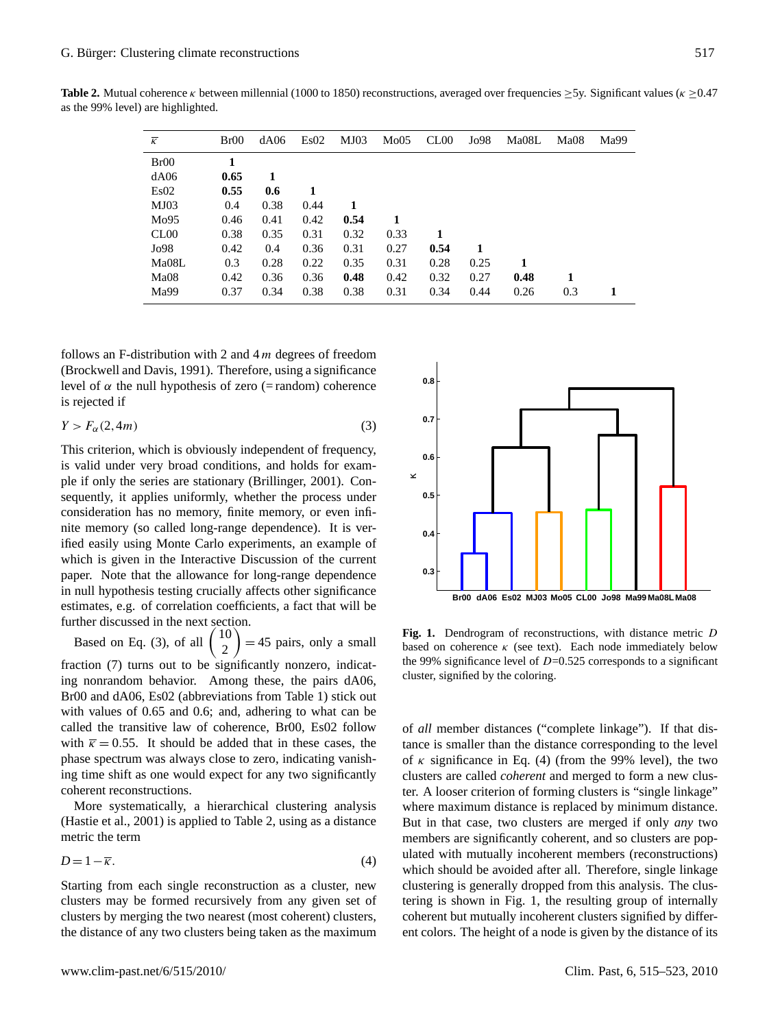| $\overline{\kappa}$ | Br00 | dA06 | Es02 | MJ03 | Mo05 | CL <sub>00</sub> | Jo98 | Ma08L | Ma08 | Ma99 |
|---------------------|------|------|------|------|------|------------------|------|-------|------|------|
| Br00                | 1    |      |      |      |      |                  |      |       |      |      |
| dA06                | 0.65 | 1    |      |      |      |                  |      |       |      |      |
| Es02                | 0.55 | 0.6  | 1    |      |      |                  |      |       |      |      |
| MJ03                | 0.4  | 0.38 | 0.44 | 1    |      |                  |      |       |      |      |
| Mo95                | 0.46 | 0.41 | 0.42 | 0.54 |      |                  |      |       |      |      |
| CL00                | 0.38 | 0.35 | 0.31 | 0.32 | 0.33 |                  |      |       |      |      |
| Jo98                | 0.42 | 0.4  | 0.36 | 0.31 | 0.27 | 0.54             | 1    |       |      |      |
| Ma08L               | 0.3  | 0.28 | 0.22 | 0.35 | 0.31 | 0.28             | 0.25 | 1     |      |      |
| Ma08                | 0.42 | 0.36 | 0.36 | 0.48 | 0.42 | 0.32             | 0.27 | 0.48  |      |      |
| Ma99                | 0.37 | 0.34 | 0.38 | 0.38 | 0.31 | 0.34             | 0.44 | 0.26  | 0.3  |      |

**Table 2.** Mutual coherence κ between millennial (1000 to 1850) reconstructions, averaged over frequencies  $\geq$ 5y. Significant values (κ  $\geq$ 0.47 as the 99% level) are highlighted.

follows an F-distribution with 2 and  $4m$  degrees of freedom (Brockwell and Davis, 1991). Therefore, using a significance level of α the null hypothesis of zero (= random) coherence is rejected if

$$
Y > F_{\alpha}(2, 4m) \tag{3}
$$

This criterion, which is obviously independent of frequency, is valid under very broad conditions, and holds for example if only the series are stationary (Brillinger, 2001). Consequently, it applies uniformly, whether the process under consideration has no memory, finite memory, or even infinite memory (so called long-range dependence). It is verified easily using Monte Carlo experiments, an example of which is given in the Interactive Discussion of the current paper. Note that the allowance for long-range dependence in null hypothesis testing crucially affects other significance estimates, e.g. of correlation coefficients, a fact that will be further discussed in the next section.

Based on Eq. (3), of all 10 2  $= 45$  pairs, only a small fraction (7) turns out to be significantly nonzero, indicating nonrandom behavior. Among these, the pairs dA06, cluster, sign Br00 and dA06, Es02 (abbreviations from Table 1) stick out with values of 0.65 and 0.6; and, adhering to what can be called the transitive law of coherence, Br00, Es02 follow with  $\bar{k} = 0.55$ . It should be added that in these cases, the phase spectrum was always close to zero, indicating vanishing time shift as one would expect for any two significantly coherent reconstructions.

More systematically, a hierarchical clustering analysis (Hastie et al., 2001) is applied to Table 2, using as a distance metric the term

<span id="page-2-0"></span>
$$
D = 1 - \overline{\kappa}.\tag{4}
$$

Starting from each single reconstruction as a cluster, new clusters may be formed recursively from any given set of clusters by merging the two nearest (most coherent) clusters, the distance of any two clusters being taken as the maximum



**Fig. 1.** Denote the one coherence  $\kappa$  (see text). Each node immediately below Hicat-<br>the 99% significance level of  $D=0.525$  corresponds to a significant  $\Delta 06$  cluster, signified by the coloring. **Fig. 1.** Dendrogram of reconstructions, with distance metric D

of *all* member distances ("complete linkage"). If that distance is smaller than the distance corresponding to the level of  $\kappa$  significance in Eq. [\(4\)](#page-2-0) (from the 99% level), the two clusters are called *coherent* and merged to form a new cluster. A looser criterion of forming clusters is "single linkage" where maximum distance is replaced by minimum distance. But in that case, two clusters are merged if only *any* two members are significantly coherent, and so clusters are populated with mutually incoherent members (reconstructions) which should be avoided after all. Therefore, single linkage clustering is generally dropped from this analysis. The clustering is shown in Fig. 1, the resulting group of internally coherent but mutually incoherent clusters signified by different colors. The height of a node is given by the distance of its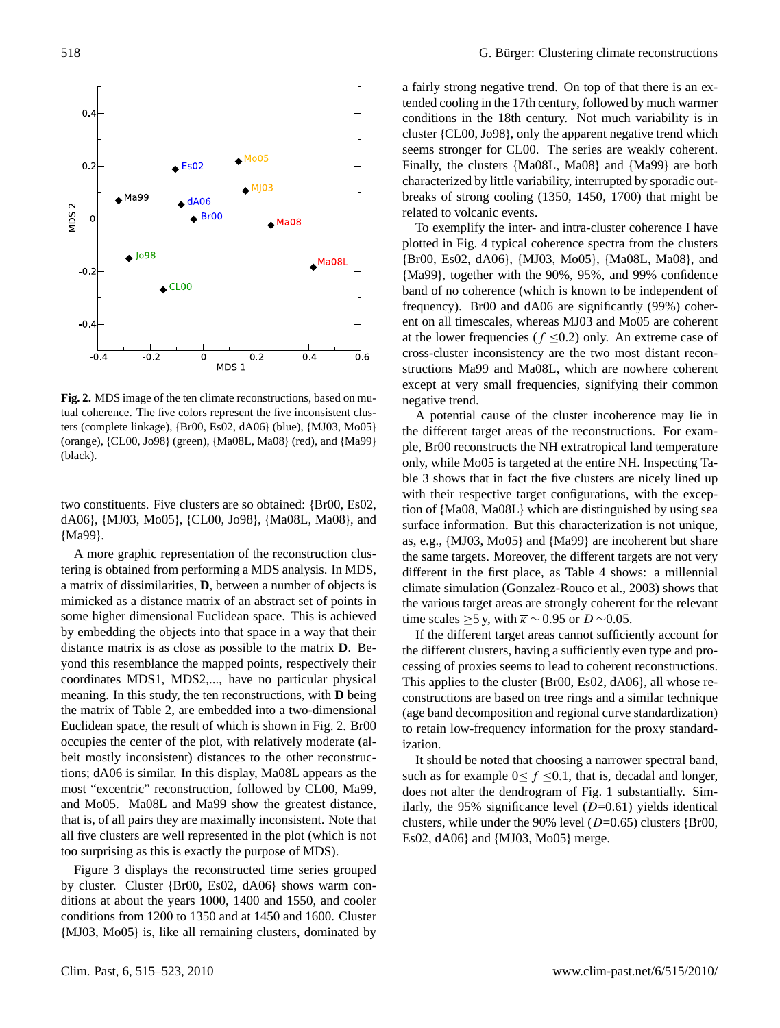

Fig. 2. MDS image of the ten climate reconstructions, based on mutual coherence. The five colors represent the five inconsistent clus- $\binom{1}{1}$  (b) (D) (D)  $\binom{1}{0}$  (Man B) (red),  $\binom{1}{1}$ ters (complete linkage), {Br00, Es02, dA06} (blue), {MJ03, Mo05} (orange), {CL00, Jo98} (green), {Ma08L, Ma08} (red), and {Ma99} (black).

two constituents. Five clusters are so obtained: {Br00, Es02, dA06}, {MJ03, Mo05}, {CL00, Jo98}, {Ma08L, Ma08}, and {Ma99}.

A more graphic representation of the reconstruction clustering is obtained from performing a MDS analysis. In MDS, a matrix of dissimilarities, **D**, between a number of objects is mimicked as a distance matrix of an abstract set of points in some higher dimensional Euclidean space. This is achieved by embedding the objects into that space in a way that their distance matrix is as close as possible to the matrix **D**. Beyond this resemblance the mapped points, respectively their coordinates MDS1, MDS2,..., have no particular physical meaning. In this study, the ten reconstructions, with **D** being the matrix of Table 2, are embedded into a two-dimensional Euclidean space, the result of which is shown in Fig. 2. Br00 occupies the center of the plot, with relatively moderate (albeit mostly inconsistent) distances to the other reconstructions; dA06 is similar. In this display, Ma08L appears as the most "excentric" reconstruction, followed by CL00, Ma99, and Mo05. Ma08L and Ma99 show the greatest distance, that is, of all pairs they are maximally inconsistent. Note that all five clusters are well represented in the plot (which is not too surprising as this is exactly the purpose of MDS).

Figure 3 displays the reconstructed time series grouped by cluster. Cluster {Br00, Es02, dA06} shows warm conditions at about the years 1000, 1400 and 1550, and cooler conditions from 1200 to 1350 and at 1450 and 1600. Cluster {MJ03, Mo05} is, like all remaining clusters, dominated by a fairly strong negative trend. On top of that there is an extended cooling in the 17th century, followed by much warmer conditions in the 18th century. Not much variability is in cluster {CL00, Jo98}, only the apparent negative trend which seems stronger for CL00. The series are weakly coherent. Finally, the clusters {Ma08L, Ma08} and {Ma99} are both characterized by little variability, interrupted by sporadic outbreaks of strong cooling (1350, 1450, 1700) that might be related to volcanic events.

To exemplify the inter- and intra-cluster coherence I have plotted in Fig. 4 typical coherence spectra from the clusters {Br00, Es02, dA06}, {MJ03, Mo05}, {Ma08L, Ma08}, and {Ma99}, together with the 90%, 95%, and 99% confidence band of no coherence (which is known to be independent of frequency). Br00 and dA06 are significantly (99%) coherent on all timescales, whereas MJ03 and Mo05 are coherent at the lower frequencies ( $f \le 0.2$ ) only. An extreme case of cross-cluster inconsistency are the two most distant reconstructions Ma99 and Ma08L, which are nowhere coherent except at very small frequencies, signifying their common negative trend.

A potential cause of the cluster incoherence may lie in the different target areas of the reconstructions. For example, Br00 reconstructs the NH extratropical land temperature only, while Mo05 is targeted at the entire NH. Inspecting Table 3 shows that in fact the five clusters are nicely lined up with their respective target configurations, with the exception of {Ma08, Ma08L} which are distinguished by using sea surface information. But this characterization is not unique, as, e.g., {MJ03, Mo05} and {Ma99} are incoherent but share the same targets. Moreover, the different targets are not very different in the first place, as Table 4 shows: a millennial climate simulation (Gonzalez-Rouco et al., 2003) shows that the various target areas are strongly coherent for the relevant time scales >5 y, with  $\bar{k}$  ∼ 0.95 or D ∼0.05.

If the different target areas cannot sufficiently account for the different clusters, having a sufficiently even type and processing of proxies seems to lead to coherent reconstructions. This applies to the cluster {Br00, Es02, dA06}, all whose reconstructions are based on tree rings and a similar technique (age band decomposition and regional curve standardization) to retain low-frequency information for the proxy standardization.

It should be noted that choosing a narrower spectral band, such as for example  $0 \le f \le 0.1$ , that is, decadal and longer, does not alter the dendrogram of Fig. 1 substantially. Similarly, the 95% significance level  $(D=0.61)$  yields identical clusters, while under the 90% level  $(D=0.65)$  clusters {Br00, Es02, dA06} and {MJ03, Mo05} merge.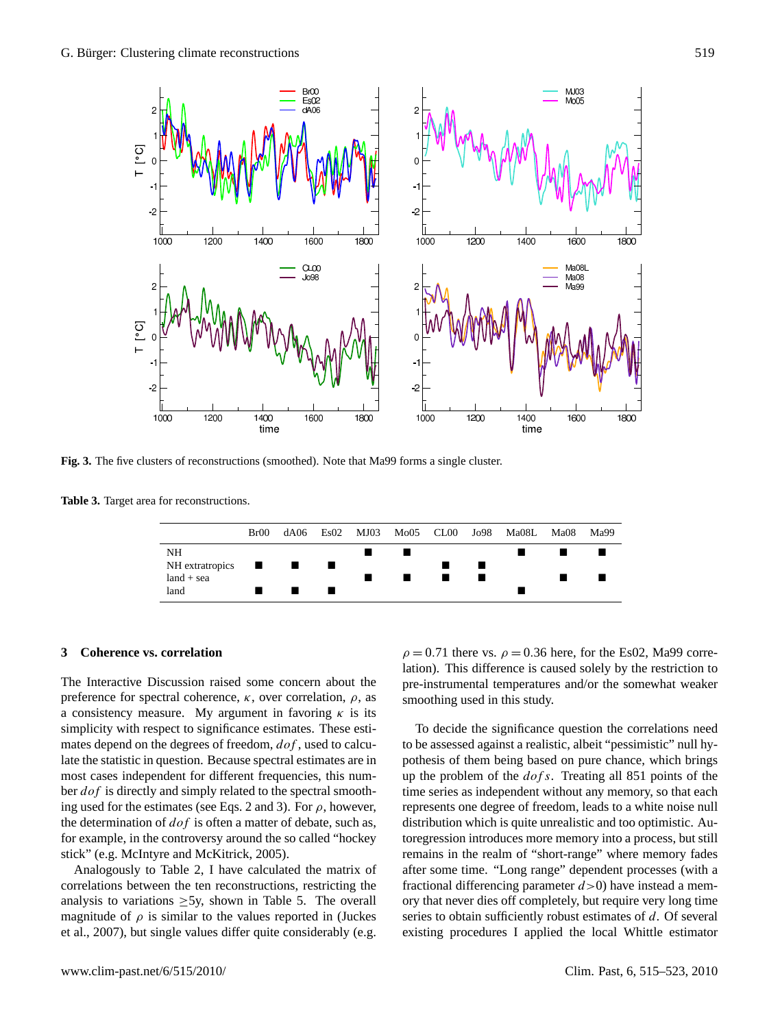

**Fig. 3.** The five clusters of reconstructions (smoothed). Note that Ma99 forms a single cluster.

**Table 3.** Target area for reconstructions.



### **3 Coherence vs. correlation**

The Interactive Discussion raised some concern about the preference for spectral coherence,  $\kappa$ , over correlation,  $\rho$ , as a consistency measure. My argument in favoring  $\kappa$  is its simplicity with respect to significance estimates. These estimates depend on the degrees of freedom,  $dof$ , used to calculate the statistic in question. Because spectral estimates are in most cases independent for different frequencies, this number *dof* is directly and simply related to the spectral smoothing used for the estimates (see Eqs. 2 and 3). For  $\rho$ , however, the determination of  $dof$  is often a matter of debate, such as, for example, in the controversy around the so called "hockey stick" (e.g. McIntyre and McKitrick, 2005).

Analogously to Table 2, I have calculated the matrix of correlations between the ten reconstructions, restricting the analysis to variations  $\geq$ 5y, shown in Table 5. The overall magnitude of  $\rho$  is similar to the values reported in (Juckes et al., 2007), but single values differ quite considerably (e.g.

 $\rho = 0.71$  there vs.  $\rho = 0.36$  here, for the Es02, Ma99 correlation). This difference is caused solely by the restriction to pre-instrumental temperatures and/or the somewhat weaker smoothing used in this study.

To decide the significance question the correlations need to be assessed against a realistic, albeit "pessimistic" null hypothesis of them being based on pure chance, which brings up the problem of the  $dof s$ . Treating all 851 points of the time series as independent without any memory, so that each represents one degree of freedom, leads to a white noise null distribution which is quite unrealistic and too optimistic. Autoregression introduces more memory into a process, but still remains in the realm of "short-range" where memory fades after some time. "Long range" dependent processes (with a fractional differencing parameter  $d > 0$ ) have instead a memory that never dies off completely, but require very long time series to obtain sufficiently robust estimates of d. Of several existing procedures I applied the local Whittle estimator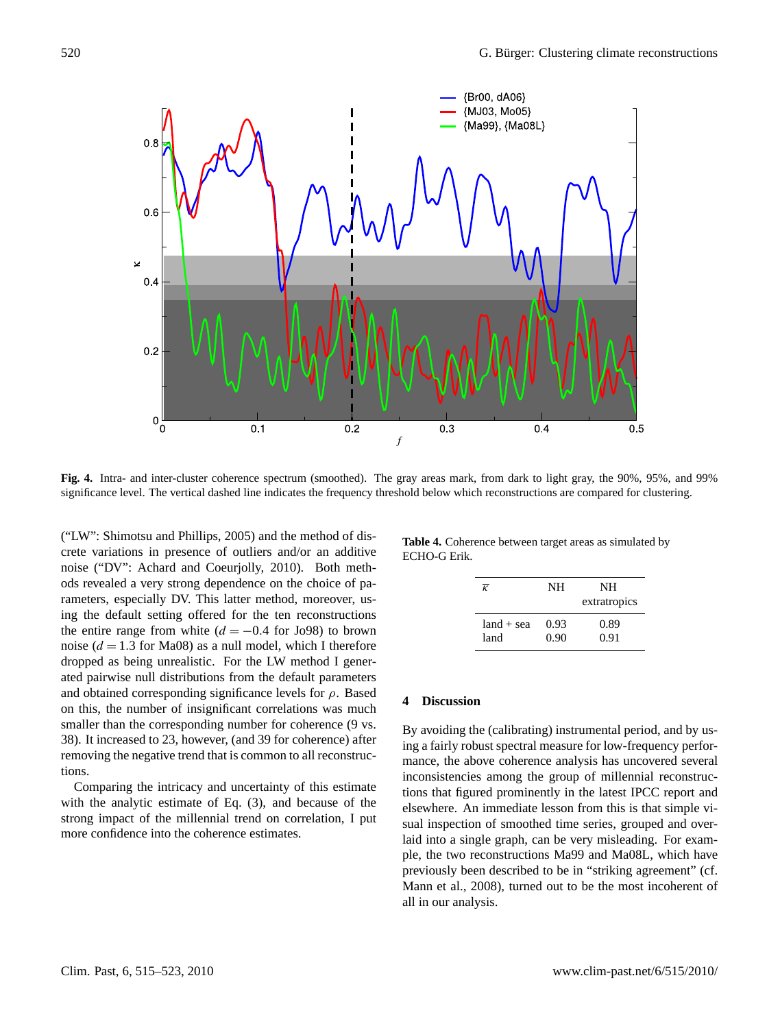

significance level. The vertical dashed line indicates the frequency threshold below which reconstructions are compared for clustering. **Fig. 4.** Intra- and inter-cluster coherence spectrum (smoothed). The gray areas mark, from dark to light gray, the 90%, 95%, and 99%

 $\frac{1}{2}$ significance level. The vertical dashed line indicates the frequency of  $\frac{1}{2}$ ("LW": Shimotsu and Phillips, 2005) and the method of dis-<br> $\frac{1}{2}$  Table 4. Coherence between the method of discrete variations in presence of outliers and/or an additive noise ("DV": Achard and Coeurjolly, 2010). Both methods revealed a very strong dependence on the choice of parameters, especially DV. This latter method, moreover, using the default setting offered for the ten reconstructions the entire range from white  $(d = -0.4$  for Jo98) to brown noise ( $d = 1.3$  for Ma08) as a null model, which I therefore dropped as being unrealistic. For the LW method I generated pairwise null distributions from the default parameters and obtained corresponding significance levels for  $\rho$ . Based on this, the number of insignificant correlations was much smaller than the corresponding number for coherence (9 vs. 38). It increased to 23, however, (and 39 for coherence) after removing the negative trend that is common to all reconstructions.

Comparing the intricacy and uncertainty of this estimate with the analytic estimate of Eq. (3), and because of the strong impact of the millennial trend on correlation, I put more confidence into the coherence estimates.

**Table 4.** Coherence between target areas as simulated by ECHO-G Erik.

| $\overline{\kappa}$ | NH   | NH<br>extratropics |
|---------------------|------|--------------------|
| $land + sea$        | 0.93 | 0.89               |
| land                | 0.90 | 0.91               |

#### **4 Discussion**

By avoiding the (calibrating) instrumental period, and by using a fairly robust spectral measure for low-frequency performance, the above coherence analysis has uncovered several inconsistencies among the group of millennial reconstructions that figured prominently in the latest IPCC report and elsewhere. An immediate lesson from this is that simple visual inspection of smoothed time series, grouped and overlaid into a single graph, can be very misleading. For example, the two reconstructions Ma99 and Ma08L, which have previously been described to be in "striking agreement" (cf. Mann et al., 2008), turned out to be the most incoherent of all in our analysis.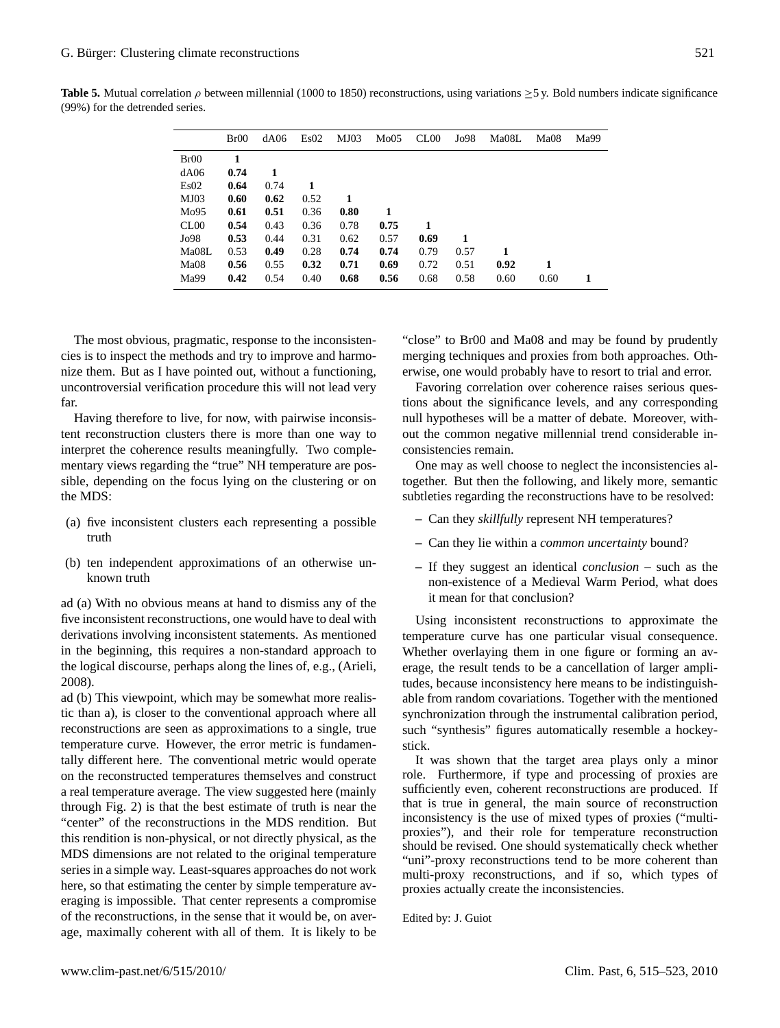|       | Br00 | dA06 | Es02 | MJO3 | Mo05 | CL00 | Jo98 | Ma08L | Ma08 | Ma99 |
|-------|------|------|------|------|------|------|------|-------|------|------|
| Br00  | 1    |      |      |      |      |      |      |       |      |      |
| dA06  | 0.74 | 1    |      |      |      |      |      |       |      |      |
| Es02  | 0.64 | 0.74 |      |      |      |      |      |       |      |      |
| MJ03  | 0.60 | 0.62 | 0.52 | 1    |      |      |      |       |      |      |
| Mo95  | 0.61 | 0.51 | 0.36 | 0.80 |      |      |      |       |      |      |
| CL00  | 0.54 | 0.43 | 0.36 | 0.78 | 0.75 | 1    |      |       |      |      |
| Jo98  | 0.53 | 0.44 | 0.31 | 0.62 | 0.57 | 0.69 | 1    |       |      |      |
| Ma08L | 0.53 | 0.49 | 0.28 | 0.74 | 0.74 | 0.79 | 0.57 | 1     |      |      |
| Ma08  | 0.56 | 0.55 | 0.32 | 0.71 | 0.69 | 0.72 | 0.51 | 0.92  | 1    |      |
| Ma99  | 0.42 | 0.54 | 0.40 | 0.68 | 0.56 | 0.68 | 0.58 | 0.60  | 0.60 |      |

**Table 5.** Mutual correlation  $\rho$  between millennial (1000 to 1850) reconstructions, using variations  $\geq$ 5 y. Bold numbers indicate significance (99%) for the detrended series.

The most obvious, pragmatic, response to the inconsistencies is to inspect the methods and try to improve and harmonize them. But as I have pointed out, without a functioning, uncontroversial verification procedure this will not lead very far.

Having therefore to live, for now, with pairwise inconsistent reconstruction clusters there is more than one way to interpret the coherence results meaningfully. Two complementary views regarding the "true" NH temperature are possible, depending on the focus lying on the clustering or on the MDS:

- (a) five inconsistent clusters each representing a possible truth
- (b) ten independent approximations of an otherwise unknown truth

ad (a) With no obvious means at hand to dismiss any of the five inconsistent reconstructions, one would have to deal with derivations involving inconsistent statements. As mentioned in the beginning, this requires a non-standard approach to the logical discourse, perhaps along the lines of, e.g., (Arieli, 2008).

ad (b) This viewpoint, which may be somewhat more realistic than a), is closer to the conventional approach where all reconstructions are seen as approximations to a single, true temperature curve. However, the error metric is fundamentally different here. The conventional metric would operate on the reconstructed temperatures themselves and construct a real temperature average. The view suggested here (mainly through Fig. 2) is that the best estimate of truth is near the "center" of the reconstructions in the MDS rendition. But this rendition is non-physical, or not directly physical, as the MDS dimensions are not related to the original temperature series in a simple way. Least-squares approaches do not work here, so that estimating the center by simple temperature averaging is impossible. That center represents a compromise of the reconstructions, in the sense that it would be, on average, maximally coherent with all of them. It is likely to be

"close" to Br00 and Ma08 and may be found by prudently merging techniques and proxies from both approaches. Otherwise, one would probably have to resort to trial and error.

Favoring correlation over coherence raises serious questions about the significance levels, and any corresponding null hypotheses will be a matter of debate. Moreover, without the common negative millennial trend considerable inconsistencies remain.

One may as well choose to neglect the inconsistencies altogether. But then the following, and likely more, semantic subtleties regarding the reconstructions have to be resolved:

- **–** Can they *skillfully* represent NH temperatures?
- **–** Can they lie within a *common uncertainty* bound?
- **–** If they suggest an identical *conclusion* such as the non-existence of a Medieval Warm Period, what does it mean for that conclusion?

Using inconsistent reconstructions to approximate the temperature curve has one particular visual consequence. Whether overlaying them in one figure or forming an average, the result tends to be a cancellation of larger amplitudes, because inconsistency here means to be indistinguishable from random covariations. Together with the mentioned synchronization through the instrumental calibration period, such "synthesis" figures automatically resemble a hockeystick.

It was shown that the target area plays only a minor role. Furthermore, if type and processing of proxies are sufficiently even, coherent reconstructions are produced. If that is true in general, the main source of reconstruction inconsistency is the use of mixed types of proxies ("multiproxies"), and their role for temperature reconstruction should be revised. One should systematically check whether "uni"-proxy reconstructions tend to be more coherent than multi-proxy reconstructions, and if so, which types of proxies actually create the inconsistencies.

Edited by: J. Guiot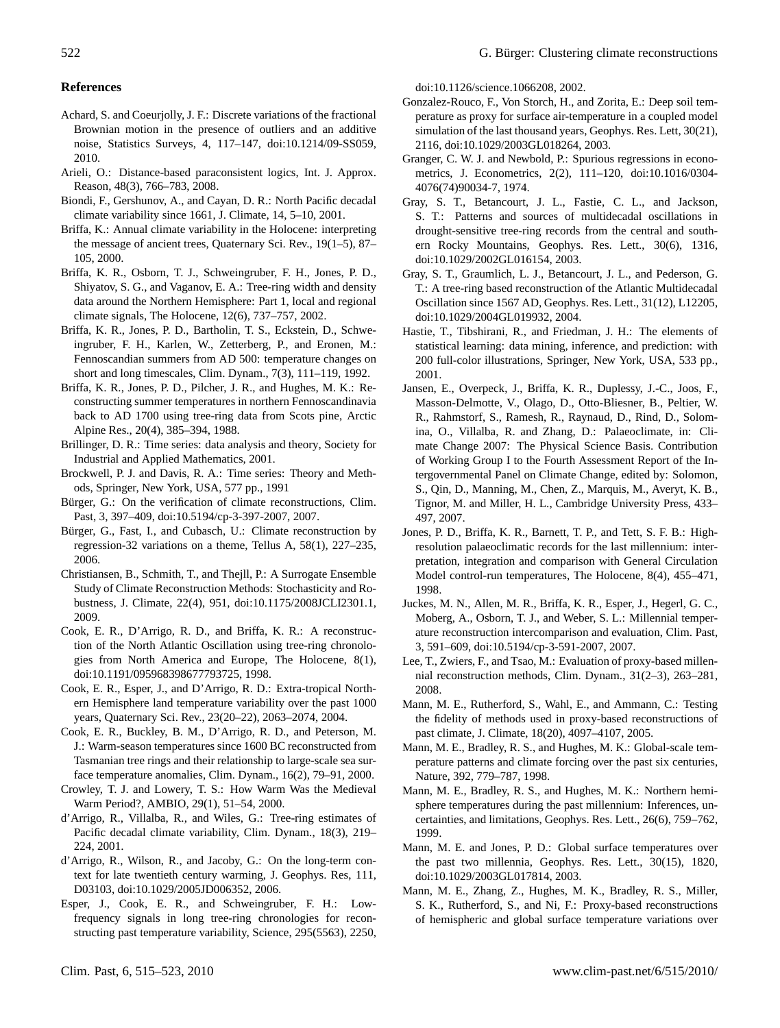#### **References**

- Achard, S. and Coeurjolly, J. F.: Discrete variations of the fractional Brownian motion in the presence of outliers and an additive noise, Statistics Surveys, 4, 117–147, doi:10.1214/09-SS059, 2010.
- Arieli, O.: Distance-based paraconsistent logics, Int. J. Approx. Reason, 48(3), 766–783, 2008.
- Biondi, F., Gershunov, A., and Cayan, D. R.: North Pacific decadal climate variability since 1661, J. Climate, 14, 5–10, 2001.
- Briffa, K.: Annual climate variability in the Holocene: interpreting the message of ancient trees, Quaternary Sci. Rev., 19(1–5), 87– 105, 2000.
- Briffa, K. R., Osborn, T. J., Schweingruber, F. H., Jones, P. D., Shiyatov, S. G., and Vaganov, E. A.: Tree-ring width and density data around the Northern Hemisphere: Part 1, local and regional climate signals, The Holocene, 12(6), 737–757, 2002.
- Briffa, K. R., Jones, P. D., Bartholin, T. S., Eckstein, D., Schweingruber, F. H., Karlen, W., Zetterberg, P., and Eronen, M.: Fennoscandian summers from AD 500: temperature changes on short and long timescales, Clim. Dynam., 7(3), 111–119, 1992.
- Briffa, K. R., Jones, P. D., Pilcher, J. R., and Hughes, M. K.: Reconstructing summer temperatures in northern Fennoscandinavia back to AD 1700 using tree-ring data from Scots pine, Arctic Alpine Res., 20(4), 385–394, 1988.
- Brillinger, D. R.: Time series: data analysis and theory, Society for Industrial and Applied Mathematics, 2001.
- Brockwell, P. J. and Davis, R. A.: Time series: Theory and Methods, Springer, New York, USA, 577 pp., 1991
- Bürger, G.: On the verification of climate reconstructions, Clim. Past, 3, 397–409, doi:10.5194/cp-3-397-2007, 2007.
- Bürger, G., Fast, I., and Cubasch, U.: Climate reconstruction by regression-32 variations on a theme, Tellus A, 58(1), 227–235, 2006.
- Christiansen, B., Schmith, T., and Thejll, P.: A Surrogate Ensemble Study of Climate Reconstruction Methods: Stochasticity and Robustness, J. Climate, 22(4), 951, doi:10.1175/2008JCLI2301.1, 2009.
- Cook, E. R., D'Arrigo, R. D., and Briffa, K. R.: A reconstruction of the North Atlantic Oscillation using tree-ring chronologies from North America and Europe, The Holocene, 8(1), doi:10.1191/095968398677793725, 1998.
- Cook, E. R., Esper, J., and D'Arrigo, R. D.: Extra-tropical Northern Hemisphere land temperature variability over the past 1000 years, Quaternary Sci. Rev., 23(20–22), 2063–2074, 2004.
- Cook, E. R., Buckley, B. M., D'Arrigo, R. D., and Peterson, M. J.: Warm-season temperatures since 1600 BC reconstructed from Tasmanian tree rings and their relationship to large-scale sea surface temperature anomalies, Clim. Dynam., 16(2), 79–91, 2000.
- Crowley, T. J. and Lowery, T. S.: How Warm Was the Medieval Warm Period?, AMBIO, 29(1), 51–54, 2000.
- d'Arrigo, R., Villalba, R., and Wiles, G.: Tree-ring estimates of Pacific decadal climate variability, Clim. Dynam., 18(3), 219– 224, 2001.
- d'Arrigo, R., Wilson, R., and Jacoby, G.: On the long-term context for late twentieth century warming, J. Geophys. Res, 111, D03103, doi:10.1029/2005JD006352, 2006.
- Esper, J., Cook, E. R., and Schweingruber, F. H.: Lowfrequency signals in long tree-ring chronologies for reconstructing past temperature variability, Science, 295(5563), 2250,

doi:10.1126/science.1066208, 2002.

- Gonzalez-Rouco, F., Von Storch, H., and Zorita, E.: Deep soil temperature as proxy for surface air-temperature in a coupled model simulation of the last thousand years, Geophys. Res. Lett, 30(21), 2116, doi:10.1029/2003GL018264, 2003.
- Granger, C. W. J. and Newbold, P.: Spurious regressions in econometrics, J. Econometrics, 2(2), 111–120, doi:10.1016/0304- 4076(74)90034-7, 1974.
- Gray, S. T., Betancourt, J. L., Fastie, C. L., and Jackson, S. T.: Patterns and sources of multidecadal oscillations in drought-sensitive tree-ring records from the central and southern Rocky Mountains, Geophys. Res. Lett., 30(6), 1316, doi:10.1029/2002GL016154, 2003.
- Gray, S. T., Graumlich, L. J., Betancourt, J. L., and Pederson, G. T.: A tree-ring based reconstruction of the Atlantic Multidecadal Oscillation since 1567 AD, Geophys. Res. Lett., 31(12), L12205, doi:10.1029/2004GL019932, 2004.
- Hastie, T., Tibshirani, R., and Friedman, J. H.: The elements of statistical learning: data mining, inference, and prediction: with 200 full-color illustrations, Springer, New York, USA, 533 pp., 2001.
- Jansen, E., Overpeck, J., Briffa, K. R., Duplessy, J.-C., Joos, F., Masson-Delmotte, V., Olago, D., Otto-Bliesner, B., Peltier, W. R., Rahmstorf, S., Ramesh, R., Raynaud, D., Rind, D., Solomina, O., Villalba, R. and Zhang, D.: Palaeoclimate, in: Climate Change 2007: The Physical Science Basis. Contribution of Working Group I to the Fourth Assessment Report of the Intergovernmental Panel on Climate Change, edited by: Solomon, S., Qin, D., Manning, M., Chen, Z., Marquis, M., Averyt, K. B., Tignor, M. and Miller, H. L., Cambridge University Press, 433– 497, 2007.
- Jones, P. D., Briffa, K. R., Barnett, T. P., and Tett, S. F. B.: Highresolution palaeoclimatic records for the last millennium: interpretation, integration and comparison with General Circulation Model control-run temperatures, The Holocene, 8(4), 455–471, 1998.
- Juckes, M. N., Allen, M. R., Briffa, K. R., Esper, J., Hegerl, G. C., Moberg, A., Osborn, T. J., and Weber, S. L.: Millennial temperature reconstruction intercomparison and evaluation, Clim. Past, 3, 591–609, doi:10.5194/cp-3-591-2007, 2007.
- Lee, T., Zwiers, F., and Tsao, M.: Evaluation of proxy-based millennial reconstruction methods, Clim. Dynam., 31(2–3), 263–281, 2008.
- Mann, M. E., Rutherford, S., Wahl, E., and Ammann, C.: Testing the fidelity of methods used in proxy-based reconstructions of past climate, J. Climate, 18(20), 4097–4107, 2005.
- Mann, M. E., Bradley, R. S., and Hughes, M. K.: Global-scale temperature patterns and climate forcing over the past six centuries, Nature, 392, 779–787, 1998.
- Mann, M. E., Bradley, R. S., and Hughes, M. K.: Northern hemisphere temperatures during the past millennium: Inferences, uncertainties, and limitations, Geophys. Res. Lett., 26(6), 759–762, 1999.
- Mann, M. E. and Jones, P. D.: Global surface temperatures over the past two millennia, Geophys. Res. Lett., 30(15), 1820, doi:10.1029/2003GL017814, 2003.
- Mann, M. E., Zhang, Z., Hughes, M. K., Bradley, R. S., Miller, S. K., Rutherford, S., and Ni, F.: Proxy-based reconstructions of hemispheric and global surface temperature variations over